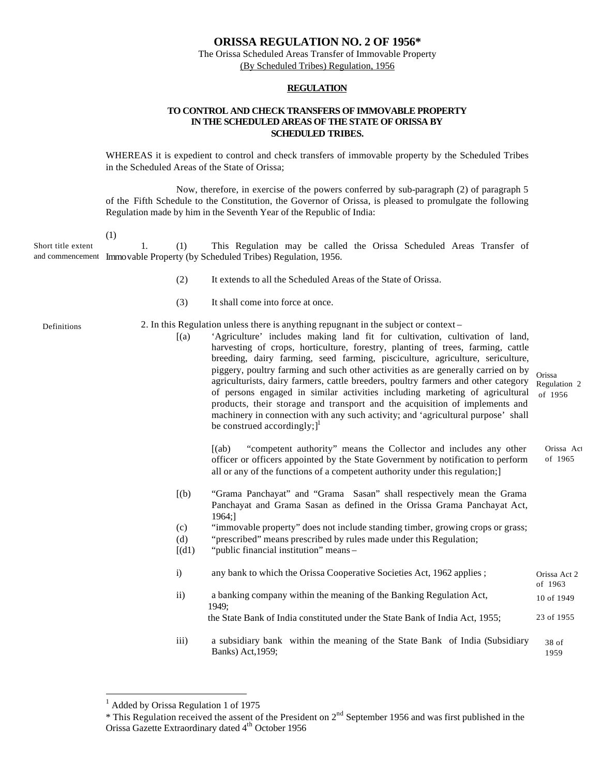## **ORISSA REGULATION NO. 2 OF 1956\***

The Orissa Scheduled Areas Transfer of Immovable Property (By Scheduled Tribes) Regulation, 1956

### **REGULATION**

### **TO CONTROL AND CHECK TRANSFERS OF IMMOVABLE PROPERTY IN THE SCHEDULED AREAS OF THE STATE OF ORISSA BY SCHEDULED TRIBES.**

WHEREAS it is expedient to control and check transfers of immovable property by the Scheduled Tribes in the Scheduled Areas of the State of Orissa;

Now, therefore, in exercise of the powers conferred by sub-paragraph (2) of paragraph 5 of the Fifth Schedule to the Constitution, the Governor of Orissa, is pleased to promulgate the following Regulation made by him in the Seventh Year of the Republic of India:

(1)

1. (1) This Regulation may be called the Orissa Scheduled Areas Transfer of and commencement Immovable Property (by Scheduled Tribes) Regulation, 1956. Short title extent

- (2) It extends to all the Scheduled Areas of the State of Orissa.
- (3) It shall come into force at once.

Definitions

- 2. In this Regulation unless there is anything repugnant in the subject or context
	- [(a) 'Agriculture' includes making land fit for cultivation, cultivation of land, harvesting of crops, horticulture, forestry, planting of trees, farming, cattle breeding, dairy farming, seed farming, pisciculture, agriculture, sericulture, piggery, poultry farming and such other activities as are generally carried on by agriculturists, dairy farmers, cattle breeders, poultry farmers and other category of persons engaged in similar activities including marketing of agricultural products, their storage and transport and the acquisition of implements and machinery in connection with any such activity; and 'agricultural purpose' shall be construed accordingly; $]^{1}$ Orissa Regulation 2 of 1956

[(ab) "competent authority" means the Collector and includes any other officer or officers appointed by the State Government by notification to perform all or any of the functions of a competent authority under this regulation;] Orissa Act of 1965

- [(b) "Grama Panchayat" and "Grama Sasan" shall respectively mean the Grama Panchayat and Grama Sasan as defined in the Orissa Grama Panchayat Act, 1964;]
- (c) "immovable property" does not include standing timber, growing crops or grass;
- (d) "prescribed" means prescribed by rules made under this Regulation;
- $[(d1)$  "public financial institution" means –
- i) any bank to which the Orissa Cooperative Societies Act, 1962 applies ; ii) a banking company within the meaning of the Banking Regulation Act, 1949; the State Bank of India constituted under the State Bank of India Act, 1955; iii) a subsidiary bank within the meaning of the State Bank of India (Subsidiary Banks) Act,1959; Orissa Act 2 of 1963 10 of 1949 23 of 1955 38 of 1959

 $\overline{a}$ 

<sup>&</sup>lt;sup>1</sup> Added by Orissa Regulation 1 of 1975

<sup>&</sup>lt;sup>\*</sup> This Regulation received the assent of the President on  $2<sup>nd</sup>$  September 1956 and was first published in the Orissa Gazette Extraordinary dated 4<sup>th</sup> October 1956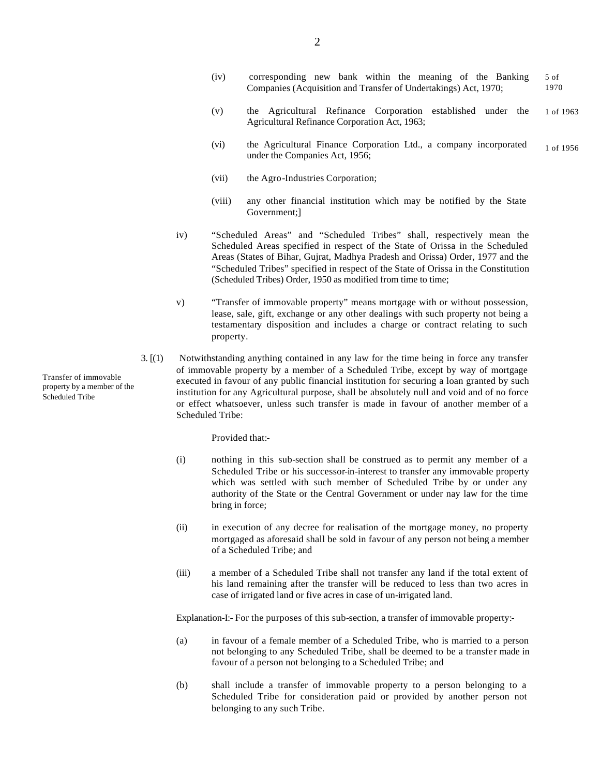- (v) the Agricultural Refinance Corporation established under the Agricultural Refinance Corporation Act, 1963; 1 of 1963
- (vi) the Agricultural Finance Corporation Ltd., a company incorporated under the Companies Act, 1956; 1 of 1956
- (vii) the Agro-Industries Corporation;
- (viii) any other financial institution which may be notified by the State Government;]
- iv) "Scheduled Areas" and "Scheduled Tribes" shall, respectively mean the Scheduled Areas specified in respect of the State of Orissa in the Scheduled Areas (States of Bihar, Gujrat, Madhya Pradesh and Orissa) Order, 1977 and the "Scheduled Tribes" specified in respect of the State of Orissa in the Constitution (Scheduled Tribes) Order, 1950 as modified from time to time;
- v) "Transfer of immovable property" means mortgage with or without possession, lease, sale, gift, exchange or any other dealings with such property not being a testamentary disposition and includes a charge or contract relating to such property.
- 3. [(1) Notwithstanding anything contained in any law for the time being in force any transfer of immovable property by a member of a Scheduled Tribe, except by way of mortgage executed in favour of any public financial institution for securing a loan granted by such institution for any Agricultural purpose, shall be absolutely null and void and of no force or effect whatsoever, unless such transfer is made in favour of another member of a Scheduled Tribe:

Provided that:-

- (i) nothing in this sub-section shall be construed as to permit any member of a Scheduled Tribe or his successor-in-interest to transfer any immovable property which was settled with such member of Scheduled Tribe by or under any authority of the State or the Central Government or under nay law for the time bring in force;
- (ii) in execution of any decree for realisation of the mortgage money, no property mortgaged as aforesaid shall be sold in favour of any person not being a member of a Scheduled Tribe; and
- (iii) a member of a Scheduled Tribe shall not transfer any land if the total extent of his land remaining after the transfer will be reduced to less than two acres in case of irrigated land or five acres in case of un-irrigated land.

Explanation-I:- For the purposes of this sub-section, a transfer of immovable property:-

- (a) in favour of a female member of a Scheduled Tribe, who is married to a person not belonging to any Scheduled Tribe, shall be deemed to be a transfer made in favour of a person not belonging to a Scheduled Tribe; and
- (b) shall include a transfer of immovable property to a person belonging to a Scheduled Tribe for consideration paid or provided by another person not belonging to any such Tribe.

Transfer of immovable property by a member of the Scheduled Tribe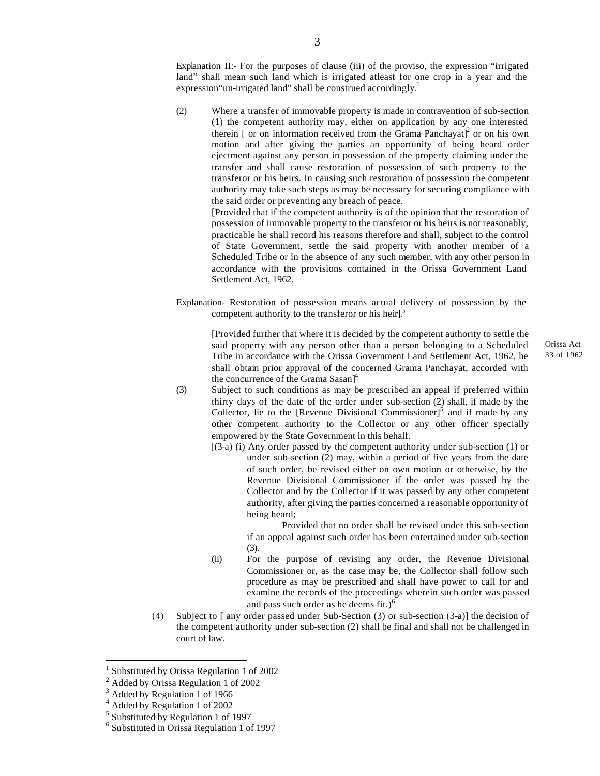Explanation II:- For the purposes of clause (iii) of the proviso, the expression "irrigated land" shall mean such land which is irrigated atleast for one crop in a year and the expression "un-irrigated land" shall be construed accordingly.<sup>1</sup>

(2) Where a transfer of immovable property is made in contravention of sub-section (1) the competent authority may, either on application by any one interested therein [ or on information received from the Grama Panchayat]<sup>2</sup> or on his own motion and after giving the parties an opportunity of being heard order ejectment against any person in possession of the property claiming under the transfer and shall cause restoration of possession of such property to the transferor or his heirs. In causing such restoration of possession the competent authority may take such steps as may be necessary for securing compliance with the said order or preventing any breach of peace.

[Provided that if the competent authority is of the opinion that the restoration of possession of immovable property to the transferor or his heirs is not reasonably, practicable he shall record his reasons therefore and shall, subject to the control of State Government, settle the said property with another member of a Scheduled Tribe or in the absence of any such member, with any other person in accordance with the provisions contained in the Orissa Government Land Settlement Act, 1962.

Explanation- Restoration of possession means actual delivery of possession by the competent authority to the transferor or his heir]. 3

[Provided further that where it is decided by the competent authority to settle the said property with any person other than a person belonging to a Scheduled Tribe in accordance with the Orissa Government Land Settlement Act, 1962, he shall obtain prior approval of the concerned Grama Panchayat, accorded with the concurrence of the Grama Sasan $\vert^4$ 

- (3) Subject to such conditions as may be prescribed an appeal if preferred within thirty days of the date of the order under sub-section (2) shall, if made by the Collector, lie to the [Revenue Divisional Commissioner]<sup>5</sup> and if made by any other competent authority to the Collector or any other officer specially empowered by the State Government in this behalf.
	- [(3-a) (i) Any order passed by the competent authority under sub-section (1) or under sub-section (2) may, within a period of five years from the date of such order, be revised either on own motion or otherwise, by the Revenue Divisional Commissioner if the order was passed by the Collector and by the Collector if it was passed by any other competent authority, after giving the parties concerned a reasonable opportunity of being heard;

Provided that no order shall be revised under this sub-section if an appeal against such order has been entertained under sub-section (3).

- (ii) For the purpose of revising any order, the Revenue Divisional Commissioner or, as the case may be, the Collector shall follow such procedure as may be prescribed and shall have power to call for and examine the records of the proceedings wherein such order was passed and pass such order as he deems fit.) $<sup>6</sup>$ </sup>
- (4) Subject to [ any order passed under Sub-Section (3) or sub-section (3-a)] the decision of the competent authority under sub-section (2) shall be final and shall not be challenged in court of law.

 $\overline{a}$ 

<sup>1</sup> Substituted by Orissa Regulation 1 of 2002

<sup>&</sup>lt;sup>2</sup> Added by Orissa Regulation 1 of 2002

<sup>&</sup>lt;sup>3</sup> Added by Regulation 1 of 1966

<sup>4</sup> Added by Regulation 1 of 2002

<sup>&</sup>lt;sup>5</sup> Substituted by Regulation 1 of 1997

<sup>6</sup> Substituted in Orissa Regulation 1 of 1997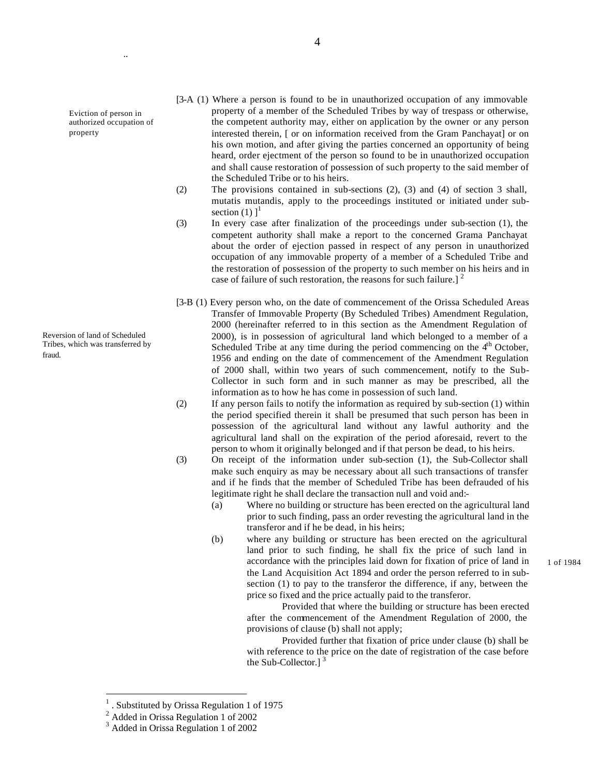Eviction of person in authorized occupation of property

..

Reversion of land of Scheduled Tribes, which was transferred by fraud.

- [3-A (1) Where a person is found to be in unauthorized occupation of any immovable property of a member of the Scheduled Tribes by way of trespass or otherwise, the competent authority may, either on application by the owner or any person interested therein, [ or on information received from the Gram Panchayat] or on his own motion, and after giving the parties concerned an opportunity of being heard, order ejectment of the person so found to be in unauthorized occupation and shall cause restoration of possession of such property to the said member of the Scheduled Tribe or to his heirs.
- (2) The provisions contained in sub-sections (2), (3) and (4) of section 3 shall, mutatis mutandis, apply to the proceedings instituted or initiated under subsection  $(1)$   $1<sup>1</sup>$
- (3) In every case after finalization of the proceedings under sub-section (1), the competent authority shall make a report to the concerned Grama Panchayat about the order of ejection passed in respect of any person in unauthorized occupation of any immovable property of a member of a Scheduled Tribe and the restoration of possession of the property to such member on his heirs and in case of failure of such restoration, the reasons for such failure.]  $<sup>2</sup>$ </sup>
- [3-B (1) Every person who, on the date of commencement of the Orissa Scheduled Areas Transfer of Immovable Property (By Scheduled Tribes) Amendment Regulation, 2000 (hereinafter referred to in this section as the Amendment Regulation of 2000), is in possession of agricultural land which belonged to a member of a Scheduled Tribe at any time during the period commencing on the  $4<sup>th</sup>$  October, 1956 and ending on the date of commencement of the Amendment Regulation of 2000 shall, within two years of such commencement, notify to the Sub-Collector in such form and in such manner as may be prescribed, all the information as to how he has come in possession of such land.
- (2) If any person fails to notify the information as required by sub-section (1) within the period specified therein it shall be presumed that such person has been in possession of the agricultural land without any lawful authority and the agricultural land shall on the expiration of the period aforesaid, revert to the person to whom it originally belonged and if that person be dead, to his heirs.
- (3) On receipt of the information under sub-section (1), the Sub-Collector shall make such enquiry as may be necessary about all such transactions of transfer and if he finds that the member of Scheduled Tribe has been defrauded of his legitimate right he shall declare the transaction null and void and:-
	- (a) Where no building or structure has been erected on the agricultural land prior to such finding, pass an order revesting the agricultural land in the transferor and if he be dead, in his heirs;
	- (b) where any building or structure has been erected on the agricultural land prior to such finding, he shall fix the price of such land in accordance with the principles laid down for fixation of price of land in the Land Acquisition Act 1894 and order the person referred to in subsection (1) to pay to the transferor the difference, if any, between the price so fixed and the price actually paid to the transferor.

Provided that where the building or structure has been erected after the commencement of the Amendment Regulation of 2000, the provisions of clause (b) shall not apply;

Provided further that fixation of price under clause (b) shall be with reference to the price on the date of registration of the case before the Sub-Collector.]<sup>3</sup>

 $\overline{a}$ 

1 of 1984

<sup>1</sup> . Substituted by Orissa Regulation 1 of 1975

<sup>&</sup>lt;sup>2</sup> Added in Orissa Regulation 1 of 2002

<sup>3</sup> Added in Orissa Regulation 1 of 2002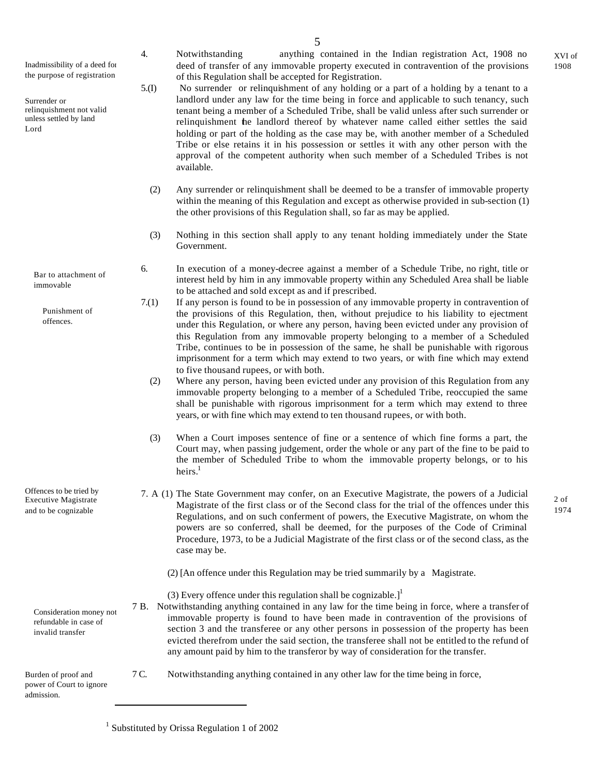5

Inadmissibility of a deed for the purpose of registration

Surrender or relinquishment not valid unless settled by land Lord

> Bar to attachment of immovable

> > Punishment of offences.

Offences to be tried by Executive Magistrate and to be cognizable

> Consideration money not refundable in case of invalid transfer

Burden of proof and power of Court to ignore admission.

4. Notwithstanding anything contained in the Indian registration Act, 1908 no deed of transfer of any immovable property executed in contravention of the provisions of this Regulation shall be accepted for Registration.

- 5.(I) No surrender or relinquishment of any holding or a part of a holding by a tenant to a landlord under any law for the time being in force and applicable to such tenancy, such tenant being a member of a Scheduled Tribe, shall be valid unless after such surrender or relinquishment the landlord thereof by whatever name called either settles the said holding or part of the holding as the case may be, with another member of a Scheduled Tribe or else retains it in his possession or settles it with any other person with the approval of the competent authority when such member of a Scheduled Tribes is not available.
	- (2) Any surrender or relinquishment shall be deemed to be a transfer of immovable property within the meaning of this Regulation and except as otherwise provided in sub-section (1) the other provisions of this Regulation shall, so far as may be applied.
	- (3) Nothing in this section shall apply to any tenant holding immediately under the State Government.
- 6. In execution of a money-decree against a member of a Schedule Tribe, no right, title or interest held by him in any immovable property within any Scheduled Area shall be liable to be attached and sold except as and if prescribed.
- 7.(1) If any person is found to be in possession of any immovable property in contravention of the provisions of this Regulation, then, without prejudice to his liability to ejectment under this Regulation, or where any person, having been evicted under any provision of this Regulation from any immovable property belonging to a member of a Scheduled Tribe, continues to be in possession of the same, he shall be punishable with rigorous imprisonment for a term which may extend to two years, or with fine which may extend to five thousand rupees, or with both.
	- (2) Where any person, having been evicted under any provision of this Regulation from any immovable property belonging to a member of a Scheduled Tribe, reoccupied the same shall be punishable with rigorous imprisonment for a term which may extend to three years, or with fine which may extend to ten thousand rupees, or with both.
	- (3) When a Court imposes sentence of fine or a sentence of which fine forms a part, the Court may, when passing judgement, order the whole or any part of the fine to be paid to the member of Scheduled Tribe to whom the immovable property belongs, or to his heirs $<sup>1</sup>$ </sup>
- 7. A (1) The State Government may confer, on an Executive Magistrate, the powers of a Judicial Magistrate of the first class or of the Second class for the trial of the offences under this Regulations, and on such conferment of powers, the Executive Magistrate, on whom the powers are so conferred, shall be deemed, for the purposes of the Code of Criminal Procedure, 1973, to be a Judicial Magistrate of the first class or of the second class, as the case may be.

(2) [An offence under this Regulation may be tried summarily by a Magistrate.

- (3) Every offence under this regulation shall be cognizable.]<sup>1</sup>
- 7 B. Notwithstanding anything contained in any law for the time being in force, where a transfer of immovable property is found to have been made in contravention of the provisions of section 3 and the transferee or any other persons in possession of the property has been evicted therefrom under the said section, the transferee shall not be entitled to the refund of any amount paid by him to the transferor by way of consideration for the transfer.
- 7 C. Notwithstanding anything contained in any other law for the time being in force,

<sup>1</sup> Substituted by Orissa Regulation 1 of 2002

2 of 1974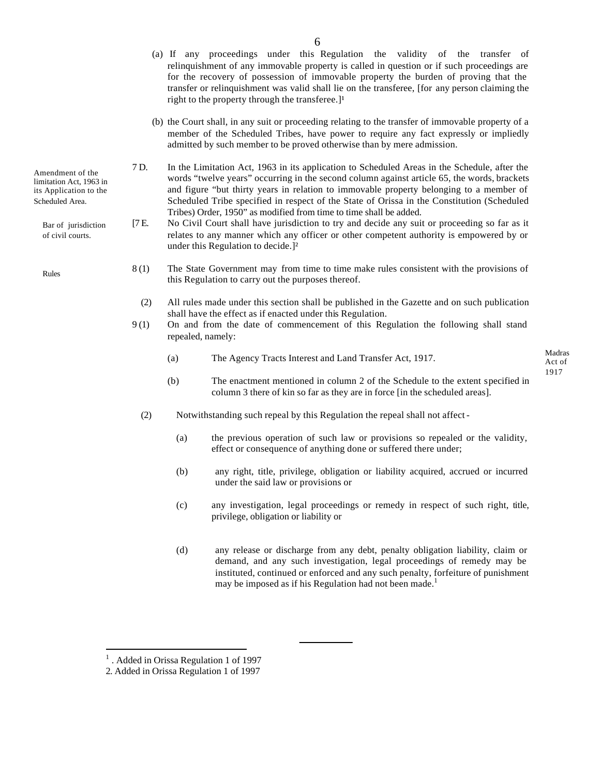- Amendment of the limitation Act, 1963 in its Application to the Scheduled Area.
	- Bar of jurisdiction of civil courts.
	- Rules
- (a) If any proceedings under this Regulation the validity of the transfer of relinquishment of any immovable property is called in question or if such proceedings are for the recovery of possession of immovable property the burden of proving that the transfer or relinquishment was valid shall lie on the transferee, [for any person claiming the right to the property through the transferee. $]^{1}$
- (b) the Court shall, in any suit or proceeding relating to the transfer of immovable property of a member of the Scheduled Tribes, have power to require any fact expressly or impliedly admitted by such member to be proved otherwise than by mere admission.
- 7 D. In the Limitation Act, 1963 in its application to Scheduled Areas in the Schedule, after the words "twelve years" occurring in the second column against article 65, the words, brackets and figure "but thirty years in relation to immovable property belonging to a member of Scheduled Tribe specified in respect of the State of Orissa in the Constitution (Scheduled Tribes) Order, 1950" as modified from time to time shall be added.
- [7 E. No Civil Court shall have jurisdiction to try and decide any suit or proceeding so far as it relates to any manner which any officer or other competent authority is empowered by or under this Regulation to decide.]²
- 8 (1) The State Government may from time to time make rules consistent with the provisions of this Regulation to carry out the purposes thereof.
	- (2) All rules made under this section shall be published in the Gazette and on such publication shall have the effect as if enacted under this Regulation.
- 9 (1) On and from the date of commencement of this Regulation the following shall stand repealed, namely:
	- (a) The Agency Tracts Interest and Land Transfer Act, 1917.

- (b) The enactment mentioned in column 2 of the Schedule to the extent specified in column 3 there of kin so far as they are in force [in the scheduled areas].
- (2) Notwithstanding such repeal by this Regulation the repeal shall not affect
	- (a) the previous operation of such law or provisions so repealed or the validity, effect or consequence of anything done or suffered there under;
	- (b) any right, title, privilege, obligation or liability acquired, accrued or incurred under the said law or provisions or
	- (c) any investigation, legal proceedings or remedy in respect of such right, title, privilege, obligation or liability or
	- (d) any release or discharge from any debt, penalty obligation liability, claim or demand, and any such investigation, legal proceedings of remedy may be instituted, continued or enforced and any such penalty, forfeiture of punishment may be imposed as if his Regulation had not been made.<sup>1</sup>

 $\overline{a}$ 

<sup>&</sup>lt;sup>1</sup>. Added in Orissa Regulation 1 of 1997

<sup>2.</sup> Added in Orissa Regulation 1 of 1997